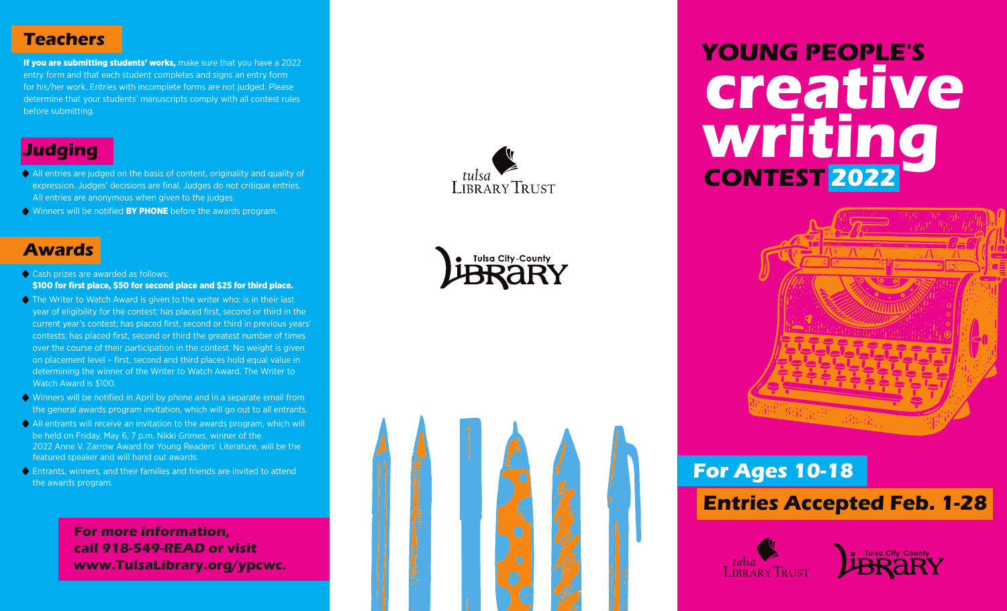## **Teachers**

If you are submitting students' works, make sure that you have a 2022 entry form and that each student completes and signs an entry form for his/her work. Entries with incomplete forms are not judged. Please determine that your students' manuscripts comply with all contest rules before submitting.

# **Judging**

- All entries are judged on the basis of content, originality and quality of expression. Judges' decisions are final. Judges do not critique entries. All entries are anonymous when given to the judges.
- **•** Winners will be notified **BY PHONE** before the awards program.

## **Awards**

- Cash prizes are awarded as follows: \$100 for first place, \$50 for second place and \$25 for third place.
- **•** The Writer to Watch Award is given to the writer who: is in their last year of eligibility for the contest; has placed first, second or third in the current year's contest; has placed first, second or third in previous years' contests; has placed first, second or third the greatest number of times over the course of their participation in the contest. No weight is given on placement level – first, second and third places hold equal value in determining the winner of the Writer to Watch Award. The Writer to Watch Award is \$100.
- Winners will be notified in April by phone and in a separate email from the general awards program invitation, which will go out to all entrants.
- All entrants will receive an invitation to the awards program, which will be held on Friday, May 6, 7 p.m. Nikki Grimes, winner of the 2022 Anne V. Zarrow Award for Young Readers' Literature, will be the featured speaker and will hand out awards.
- Entrants, winners, and their families and friends are invited to attend the awards program.

**For more information, call 918-549-READ or visit www.TulsaLibrary.org/ypcwc .**







# **YOUNG PEOPLE'S creative writing CONTEST 2022**



# **For Ages 10-18**

# **Entries Accepted Feb. 1-28**